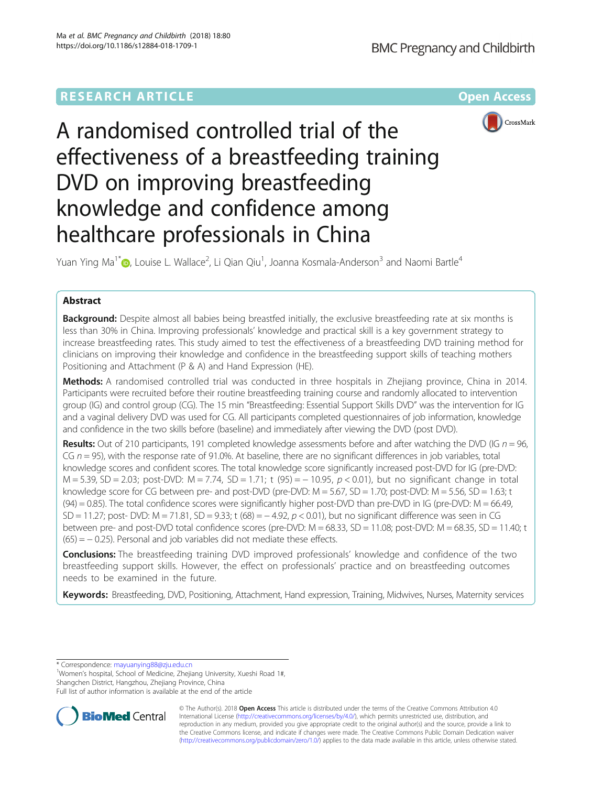# **RESEARCH ARTICLE Example 2018 12:00 Department of the CONNECTION CONNECTION CONNECTION CONNECTION CONNECTION**



# A randomised controlled trial of the effectiveness of a breastfeeding training DVD on improving breastfeeding knowledge and confidence among healthcare professionals in China

Yuan Ying Ma<sup>1\*</sup> (@[,](http://orcid.org/0000-0001-8467-0121) Louise L. Wallace<sup>2</sup>, Li Qian Qiu<sup>1</sup>, Joanna Kosmala-Anderson<sup>3</sup> and Naomi Bartle<sup>4</sup>

# Abstract

Background: Despite almost all babies being breastfed initially, the exclusive breastfeeding rate at six months is less than 30% in China. Improving professionals' knowledge and practical skill is a key government strategy to increase breastfeeding rates. This study aimed to test the effectiveness of a breastfeeding DVD training method for clinicians on improving their knowledge and confidence in the breastfeeding support skills of teaching mothers Positioning and Attachment (P & A) and Hand Expression (HE).

Methods: A randomised controlled trial was conducted in three hospitals in Zhejiang province, China in 2014. Participants were recruited before their routine breastfeeding training course and randomly allocated to intervention group (IG) and control group (CG). The 15 min "Breastfeeding: Essential Support Skills DVD" was the intervention for IG and a vaginal delivery DVD was used for CG. All participants completed questionnaires of job information, knowledge and confidence in the two skills before (baseline) and immediately after viewing the DVD (post DVD).

Results: Out of 210 participants, 191 completed knowledge assessments before and after watching the DVD (IG  $n = 96$ , CG  $n = 95$ , with the response rate of 91.0%. At baseline, there are no significant differences in job variables, total knowledge scores and confident scores. The total knowledge score significantly increased post-DVD for IG (pre-DVD:  $M = 5.39$ , SD = 2.03; post-DVD:  $M = 7.74$ , SD = 1.71; t (95) = -10.95,  $p < 0.01$ ), but no significant change in total knowledge score for CG between pre- and post-DVD (pre-DVD:  $M = 5.67$ , SD = 1.70; post-DVD:  $M = 5.56$ , SD = 1.63; t  $(94) = 0.85$ ). The total confidence scores were significantly higher post-DVD than pre-DVD in IG (pre-DVD:  $M = 66.49$ , SD = 11.27; post- DVD: M = 71.81, SD = 9.33; t (68) = − 4.92, p < 0.01), but no significant difference was seen in CG between pre- and post-DVD total confidence scores (pre-DVD: M = 68.33, SD = 11.08; post-DVD: M = 68.35, SD = 11.40; t (65) = − 0.25). Personal and job variables did not mediate these effects.

**Conclusions:** The breastfeeding training DVD improved professionals' knowledge and confidence of the two breastfeeding support skills. However, the effect on professionals' practice and on breastfeeding outcomes needs to be examined in the future.

Keywords: Breastfeeding, DVD, Positioning, Attachment, Hand expression, Training, Midwives, Nurses, Maternity services

\* Correspondence: [mayuanying88@zju.edu.cn](mailto:mayuanying88@zju.edu.cn) <sup>1</sup>

<sup>1</sup>Women's hospital, School of Medicine, Zhejiang University, Xueshi Road 1#, Shangchen District, Hangzhou, Zhejiang Province, China

Full list of author information is available at the end of the article



© The Author(s). 2018 Open Access This article is distributed under the terms of the Creative Commons Attribution 4.0 International License [\(http://creativecommons.org/licenses/by/4.0/](http://creativecommons.org/licenses/by/4.0/)), which permits unrestricted use, distribution, and reproduction in any medium, provided you give appropriate credit to the original author(s) and the source, provide a link to the Creative Commons license, and indicate if changes were made. The Creative Commons Public Domain Dedication waiver [\(http://creativecommons.org/publicdomain/zero/1.0/](http://creativecommons.org/publicdomain/zero/1.0/)) applies to the data made available in this article, unless otherwise stated.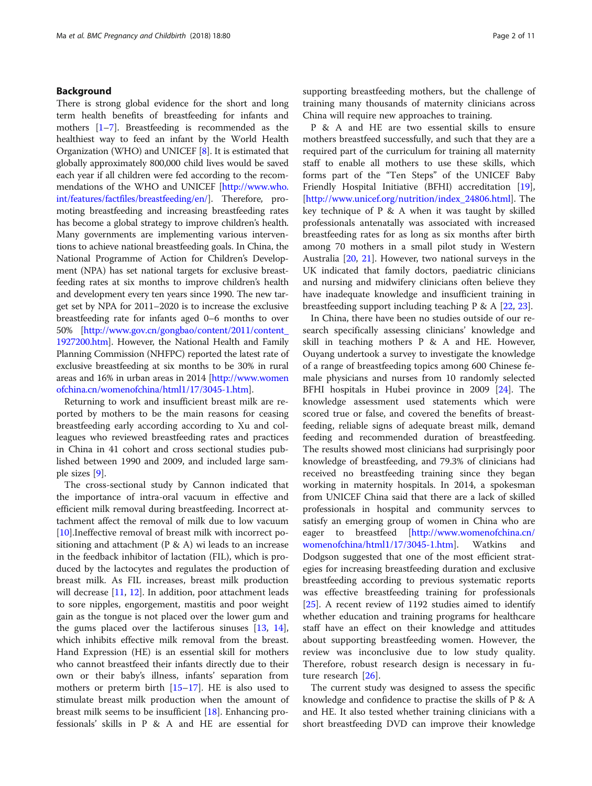# Background

There is strong global evidence for the short and long term health benefits of breastfeeding for infants and mothers [\[1](#page-9-0)–[7\]](#page-9-0). Breastfeeding is recommended as the healthiest way to feed an infant by the World Health Organization (WHO) and UNICEF [\[8](#page-9-0)]. It is estimated that globally approximately 800,000 child lives would be saved each year if all children were fed according to the recommendations of the WHO and UNICEF [\[http://www.who.](http://www.who.int/features/factfiles/breastfeeding/en) [int/features/factfiles/breastfeeding/en/](http://www.who.int/features/factfiles/breastfeeding/en)]. Therefore, promoting breastfeeding and increasing breastfeeding rates has become a global strategy to improve children's health. Many governments are implementing various interventions to achieve national breastfeeding goals. In China, the National Programme of Action for Children's Development (NPA) has set national targets for exclusive breastfeeding rates at six months to improve children's health and development every ten years since 1990. The new target set by NPA for 2011–2020 is to increase the exclusive breastfeeding rate for infants aged 0–6 months to over 50% [\[http://www.gov.cn/gongbao/content/2011/content\\_](http://www.gov.cn/gongbao/content/2011/content_1927200.htm) [1927200.htm\]](http://www.gov.cn/gongbao/content/2011/content_1927200.htm). However, the National Health and Family Planning Commission (NHFPC) reported the latest rate of exclusive breastfeeding at six months to be 30% in rural areas and 16% in urban areas in 2014 [\[http://www.women](http://www.womenofchina.cn/womenofchina/html1/17/3045-1.htm) [ofchina.cn/womenofchina/html1/17/3045-1.htm](http://www.womenofchina.cn/womenofchina/html1/17/3045-1.htm)].

Returning to work and insufficient breast milk are reported by mothers to be the main reasons for ceasing breastfeeding early according according to Xu and colleagues who reviewed breastfeeding rates and practices in China in 41 cohort and cross sectional studies published between 1990 and 2009, and included large sample sizes [[9\]](#page-9-0).

The cross-sectional study by Cannon indicated that the importance of intra-oral vacuum in effective and efficient milk removal during breastfeeding. Incorrect attachment affect the removal of milk due to low vacuum [[10\]](#page-10-0).Ineffective removal of breast milk with incorrect positioning and attachment ( $P \& A$ ) wi leads to an increase in the feedback inhibitor of lactation (FIL), which is produced by the lactocytes and regulates the production of breast milk. As FIL increases, breast milk production will decrease [\[11](#page-10-0), [12](#page-10-0)]. In addition, poor attachment leads to sore nipples, engorgement, mastitis and poor weight gain as the tongue is not placed over the lower gum and the gums placed over the lactiferous sinuses [\[13](#page-10-0), [14](#page-10-0)], which inhibits effective milk removal from the breast. Hand Expression (HE) is an essential skill for mothers who cannot breastfeed their infants directly due to their own or their baby's illness, infants' separation from mothers or preterm birth  $[15–17]$  $[15–17]$  $[15–17]$  $[15–17]$  $[15–17]$ . HE is also used to stimulate breast milk production when the amount of breast milk seems to be insufficient [[18](#page-10-0)]. Enhancing professionals' skills in P & A and HE are essential for supporting breastfeeding mothers, but the challenge of training many thousands of maternity clinicians across China will require new approaches to training.

P & A and HE are two essential skills to ensure mothers breastfeed successfully, and such that they are a required part of the curriculum for training all maternity staff to enable all mothers to use these skills, which forms part of the "Ten Steps" of the UNICEF Baby Friendly Hospital Initiative (BFHI) accreditation [\[19](#page-10-0)], [[http://www.unicef.org/nutrition/index\\_24806.html\]](http://www.unicef.org/nutrition/index_24806.html). The key technique of P & A when it was taught by skilled professionals antenatally was associated with increased breastfeeding rates for as long as six months after birth among 70 mothers in a small pilot study in Western Australia [\[20](#page-10-0), [21\]](#page-10-0). However, two national surveys in the UK indicated that family doctors, paediatric clinicians and nursing and midwifery clinicians often believe they have inadequate knowledge and insufficient training in breastfeeding support including teaching P & A [\[22](#page-10-0), [23](#page-10-0)].

In China, there have been no studies outside of our research specifically assessing clinicians' knowledge and skill in teaching mothers P & A and HE. However, Ouyang undertook a survey to investigate the knowledge of a range of breastfeeding topics among 600 Chinese female physicians and nurses from 10 randomly selected BFHI hospitals in Hubei province in 2009 [[24](#page-10-0)]. The knowledge assessment used statements which were scored true or false, and covered the benefits of breastfeeding, reliable signs of adequate breast milk, demand feeding and recommended duration of breastfeeding. The results showed most clinicians had surprisingly poor knowledge of breastfeeding, and 79.3% of clinicians had received no breastfeeding training since they began working in maternity hospitals. In 2014, a spokesman from UNICEF China said that there are a lack of skilled professionals in hospital and community servces to satisfy an emerging group of women in China who are eager to breastfeed [\[http://www.womenofchina.cn/](http://www.womenofchina.cn/womenofchina/html1/17/3045-1.htm) [womenofchina/html1/17/3045-1.htm](http://www.womenofchina.cn/womenofchina/html1/17/3045-1.htm)]. Watkins and Dodgson suggested that one of the most efficient strategies for increasing breastfeeding duration and exclusive breastfeeding according to previous systematic reports was effective breastfeeding training for professionals [[25\]](#page-10-0). A recent review of 1192 studies aimed to identify whether education and training programs for healthcare staff have an effect on their knowledge and attitudes about supporting breastfeeding women. However, the review was inconclusive due to low study quality. Therefore, robust research design is necessary in future research [[26\]](#page-10-0).

The current study was designed to assess the specific knowledge and confidence to practise the skills of P & A and HE. It also tested whether training clinicians with a short breastfeeding DVD can improve their knowledge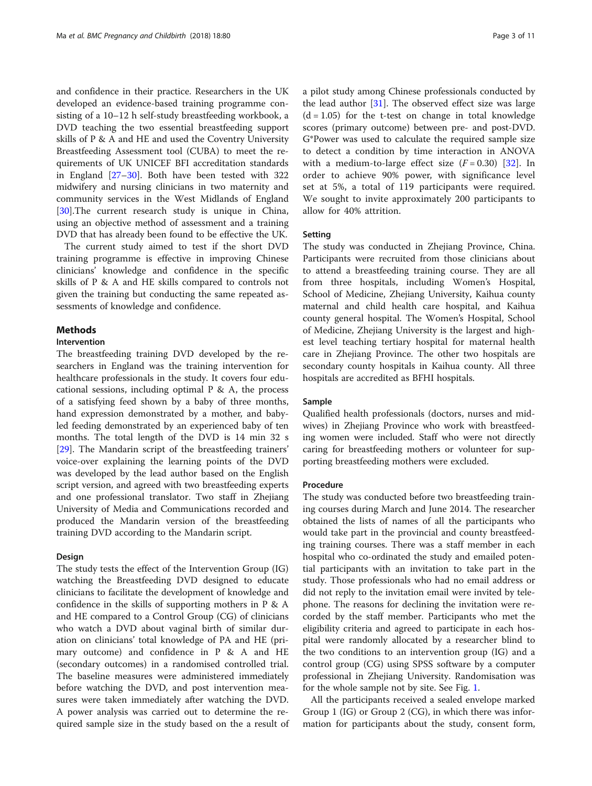and confidence in their practice. Researchers in the UK developed an evidence-based training programme consisting of a 10–12 h self-study breastfeeding workbook, a DVD teaching the two essential breastfeeding support skills of P & A and HE and used the Coventry University Breastfeeding Assessment tool (CUBA) to meet the requirements of UK UNICEF BFI accreditation standards in England [\[27](#page-10-0)–[30\]](#page-10-0). Both have been tested with 322 midwifery and nursing clinicians in two maternity and community services in the West Midlands of England [[30\]](#page-10-0).The current research study is unique in China, using an objective method of assessment and a training DVD that has already been found to be effective the UK.

The current study aimed to test if the short DVD training programme is effective in improving Chinese clinicians' knowledge and confidence in the specific skills of P & A and HE skills compared to controls not given the training but conducting the same repeated assessments of knowledge and confidence.

# Methods

# Intervention

The breastfeeding training DVD developed by the researchers in England was the training intervention for healthcare professionals in the study. It covers four educational sessions, including optimal  $P \& A$ , the process of a satisfying feed shown by a baby of three months, hand expression demonstrated by a mother, and babyled feeding demonstrated by an experienced baby of ten months. The total length of the DVD is 14 min 32 s [[29\]](#page-10-0). The Mandarin script of the breastfeeding trainers' voice-over explaining the learning points of the DVD was developed by the lead author based on the English script version, and agreed with two breastfeeding experts and one professional translator. Two staff in Zhejiang University of Media and Communications recorded and produced the Mandarin version of the breastfeeding training DVD according to the Mandarin script.

#### Design

The study tests the effect of the Intervention Group (IG) watching the Breastfeeding DVD designed to educate clinicians to facilitate the development of knowledge and confidence in the skills of supporting mothers in P & A and HE compared to a Control Group (CG) of clinicians who watch a DVD about vaginal birth of similar duration on clinicians' total knowledge of PA and HE (primary outcome) and confidence in P & A and HE (secondary outcomes) in a randomised controlled trial. The baseline measures were administered immediately before watching the DVD, and post intervention measures were taken immediately after watching the DVD. A power analysis was carried out to determine the required sample size in the study based on the a result of a pilot study among Chinese professionals conducted by the lead author  $[31]$  $[31]$ . The observed effect size was large  $(d = 1.05)$  for the t-test on change in total knowledge scores (primary outcome) between pre- and post-DVD. G\*Power was used to calculate the required sample size to detect a condition by time interaction in ANOVA with a medium-to-large effect size  $(F = 0.30)$  [\[32](#page-10-0)]. In order to achieve 90% power, with significance level set at 5%, a total of 119 participants were required. We sought to invite approximately 200 participants to allow for 40% attrition.

#### Setting

The study was conducted in Zhejiang Province, China. Participants were recruited from those clinicians about to attend a breastfeeding training course. They are all from three hospitals, including Women's Hospital, School of Medicine, Zhejiang University, Kaihua county maternal and child health care hospital, and Kaihua county general hospital. The Women's Hospital, School of Medicine, Zhejiang University is the largest and highest level teaching tertiary hospital for maternal health care in Zhejiang Province. The other two hospitals are secondary county hospitals in Kaihua county. All three hospitals are accredited as BFHI hospitals.

# Sample

Qualified health professionals (doctors, nurses and midwives) in Zhejiang Province who work with breastfeeding women were included. Staff who were not directly caring for breastfeeding mothers or volunteer for supporting breastfeeding mothers were excluded.

#### Procedure

The study was conducted before two breastfeeding training courses during March and June 2014. The researcher obtained the lists of names of all the participants who would take part in the provincial and county breastfeeding training courses. There was a staff member in each hospital who co-ordinated the study and emailed potential participants with an invitation to take part in the study. Those professionals who had no email address or did not reply to the invitation email were invited by telephone. The reasons for declining the invitation were recorded by the staff member. Participants who met the eligibility criteria and agreed to participate in each hospital were randomly allocated by a researcher blind to the two conditions to an intervention group (IG) and a control group (CG) using SPSS software by a computer professional in Zhejiang University. Randomisation was for the whole sample not by site. See Fig. [1.](#page-3-0)

All the participants received a sealed envelope marked Group 1 (IG) or Group 2 (CG), in which there was information for participants about the study, consent form,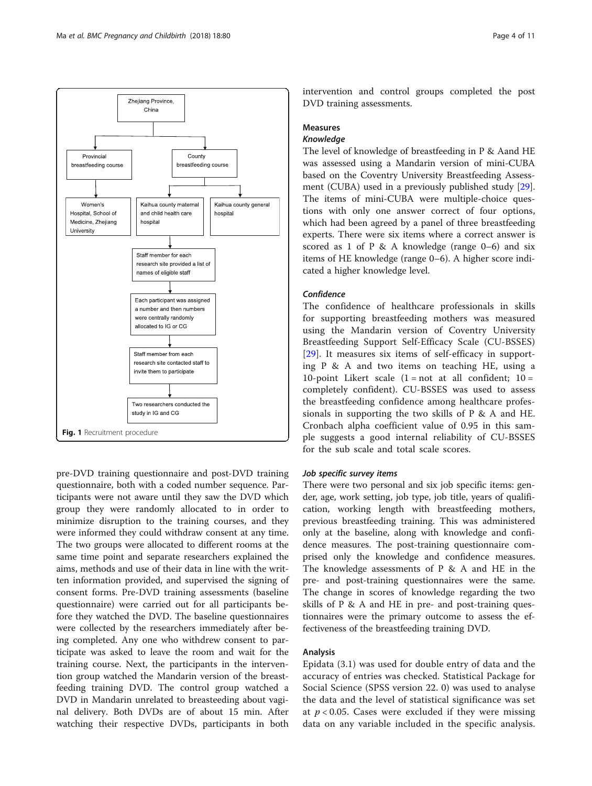<span id="page-3-0"></span>

pre-DVD training questionnaire and post-DVD training questionnaire, both with a coded number sequence. Participants were not aware until they saw the DVD which group they were randomly allocated to in order to minimize disruption to the training courses, and they were informed they could withdraw consent at any time. The two groups were allocated to different rooms at the same time point and separate researchers explained the aims, methods and use of their data in line with the written information provided, and supervised the signing of consent forms. Pre-DVD training assessments (baseline questionnaire) were carried out for all participants before they watched the DVD. The baseline questionnaires were collected by the researchers immediately after being completed. Any one who withdrew consent to participate was asked to leave the room and wait for the training course. Next, the participants in the intervention group watched the Mandarin version of the breastfeeding training DVD. The control group watched a DVD in Mandarin unrelated to breasteeding about vaginal delivery. Both DVDs are of about 15 min. After watching their respective DVDs, participants in both

intervention and control groups completed the post DVD training assessments.

# Measures

# Knowledge

The level of knowledge of breastfeeding in P & Aand HE was assessed using a Mandarin version of mini-CUBA based on the Coventry University Breastfeeding Assessment (CUBA) used in a previously published study [\[29](#page-10-0)]. The items of mini-CUBA were multiple-choice questions with only one answer correct of four options, which had been agreed by a panel of three breastfeeding experts. There were six items where a correct answer is scored as 1 of P & A knowledge (range  $0-6$ ) and six items of HE knowledge (range 0–6). A higher score indicated a higher knowledge level.

## Confidence

The confidence of healthcare professionals in skills for supporting breastfeeding mothers was measured using the Mandarin version of Coventry University Breastfeeding Support Self-Efficacy Scale (CU-BSSES) [[29\]](#page-10-0). It measures six items of self-efficacy in supporting P & A and two items on teaching HE, using a 10-point Likert scale  $(1 = not at all conflict; 10 =$ completely confident). CU-BSSES was used to assess the breastfeeding confidence among healthcare professionals in supporting the two skills of P & A and HE. Cronbach alpha coefficient value of 0.95 in this sample suggests a good internal reliability of CU-BSSES for the sub scale and total scale scores.

#### Job specific survey items

There were two personal and six job specific items: gender, age, work setting, job type, job title, years of qualification, working length with breastfeeding mothers, previous breastfeeding training. This was administered only at the baseline, along with knowledge and confidence measures. The post-training questionnaire comprised only the knowledge and confidence measures. The knowledge assessments of P & A and HE in the pre- and post-training questionnaires were the same. The change in scores of knowledge regarding the two skills of P & A and HE in pre- and post-training questionnaires were the primary outcome to assess the effectiveness of the breastfeeding training DVD.

# Analysis

Epidata (3.1) was used for double entry of data and the accuracy of entries was checked. Statistical Package for Social Science (SPSS version 22. 0) was used to analyse the data and the level of statistical significance was set at  $p < 0.05$ . Cases were excluded if they were missing data on any variable included in the specific analysis.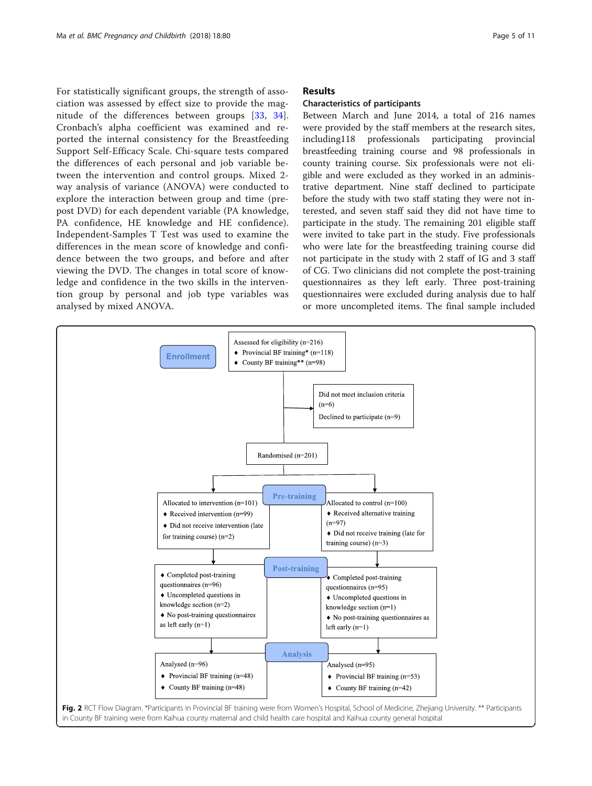<span id="page-4-0"></span>For statistically significant groups, the strength of association was assessed by effect size to provide the magnitude of the differences between groups [[33](#page-10-0), [34](#page-10-0)]. Cronbach's alpha coefficient was examined and reported the internal consistency for the Breastfeeding Support Self-Efficacy Scale. Chi-square tests compared the differences of each personal and job variable between the intervention and control groups. Mixed 2 way analysis of variance (ANOVA) were conducted to explore the interaction between group and time (prepost DVD) for each dependent variable (PA knowledge, PA confidence, HE knowledge and HE confidence). Independent-Samples T Test was used to examine the differences in the mean score of knowledge and confidence between the two groups, and before and after viewing the DVD. The changes in total score of knowledge and confidence in the two skills in the intervention group by personal and job type variables was analysed by mixed ANOVA.

# Results

#### Characteristics of participants

Between March and June 2014, a total of 216 names were provided by the staff members at the research sites, including118 professionals participating provincial breastfeeding training course and 98 professionals in county training course. Six professionals were not eligible and were excluded as they worked in an administrative department. Nine staff declined to participate before the study with two staff stating they were not interested, and seven staff said they did not have time to participate in the study. The remaining 201 eligible staff were invited to take part in the study. Five professionals who were late for the breastfeeding training course did not participate in the study with 2 staff of IG and 3 staff of CG. Two clinicians did not complete the post-training questionnaires as they left early. Three post-training questionnaires were excluded during analysis due to half or more uncompleted items. The final sample included

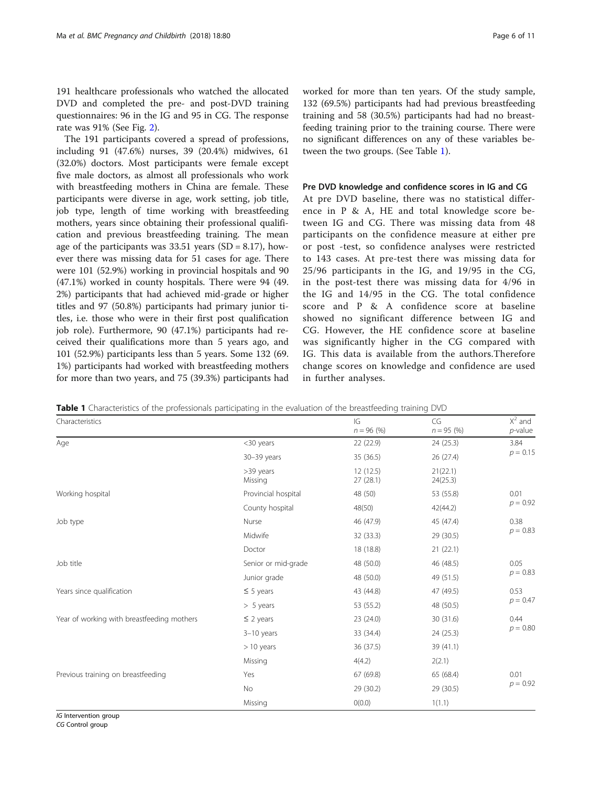191 healthcare professionals who watched the allocated DVD and completed the pre- and post-DVD training questionnaires: 96 in the IG and 95 in CG. The response rate was 91% (See Fig. [2](#page-4-0)).

The 191 participants covered a spread of professions, including 91 (47.6%) nurses, 39 (20.4%) midwives, 61 (32.0%) doctors. Most participants were female except five male doctors, as almost all professionals who work with breastfeeding mothers in China are female. These participants were diverse in age, work setting, job title, job type, length of time working with breastfeeding mothers, years since obtaining their professional qualification and previous breastfeeding training. The mean age of the participants was  $33.51$  years (SD = 8.17), however there was missing data for 51 cases for age. There were 101 (52.9%) working in provincial hospitals and 90 (47.1%) worked in county hospitals. There were 94 (49. 2%) participants that had achieved mid-grade or higher titles and 97 (50.8%) participants had primary junior titles, i.e. those who were in their first post qualification job role). Furthermore, 90 (47.1%) participants had received their qualifications more than 5 years ago, and 101 (52.9%) participants less than 5 years. Some 132 (69. 1%) participants had worked with breastfeeding mothers for more than two years, and 75 (39.3%) participants had worked for more than ten years. Of the study sample, 132 (69.5%) participants had had previous breastfeeding training and 58 (30.5%) participants had had no breastfeeding training prior to the training course. There were no significant differences on any of these variables between the two groups. (See Table 1).

# Pre DVD knowledge and confidence scores in IG and CG

At pre DVD baseline, there was no statistical difference in P & A, HE and total knowledge score between IG and CG. There was missing data from 48 participants on the confidence measure at either pre or post -test, so confidence analyses were restricted to 143 cases. At pre-test there was missing data for 25/96 participants in the IG, and 19/95 in the CG, in the post-test there was missing data for 4/96 in the IG and 14/95 in the CG. The total confidence score and P & A confidence score at baseline showed no significant difference between IG and CG. However, the HE confidence score at baseline was significantly higher in the CG compared with IG. This data is available from the authors.Therefore change scores on knowledge and confidence are used in further analyses.

**Table 1** Characteristics of the professionals participating in the evaluation of the breastfeeding training DVD

| Characteristics                            |                      | $\overline{G}$<br>$n = 96(%)$ | CG<br>$n = 95(%)$    | $X^2$ and<br>$p$ -value |  |
|--------------------------------------------|----------------------|-------------------------------|----------------------|-------------------------|--|
| Age                                        | <30 years            | 22 (22.9)                     | 24 (25.3)            | 3.84                    |  |
|                                            | $30-39$ years        | 35 (36.5)                     | 26 (27.4)            | $p = 0.15$              |  |
|                                            | >39 years<br>Missing | 12(12.5)<br>27(28.1)          | 21(22.1)<br>24(25.3) |                         |  |
| Working hospital                           | Provincial hospital  | 48 (50)                       | 53 (55.8)            | 0.01                    |  |
|                                            | County hospital      | 48(50)                        | 42(44.2)             | $p = 0.92$              |  |
| Job type                                   | Nurse                | 46 (47.9)                     | 45 (47.4)            | 0.38                    |  |
|                                            | Midwife              | 32 (33.3)                     | 29 (30.5)            | $p = 0.83$              |  |
|                                            | Doctor               | 18 (18.8)                     | 21(22.1)             |                         |  |
| Job title                                  | Senior or mid-grade  | 48 (50.0)                     | 46 (48.5)            | 0.05<br>$p = 0.83$      |  |
|                                            | Junior grade         | 48 (50.0)                     | 49 (51.5)            |                         |  |
| Years since qualification                  | $\leq$ 5 years       | 43 (44.8)                     | 47 (49.5)            | 0.53                    |  |
|                                            | $> 5$ years          | 53 (55.2)                     | 48 (50.5)            | $p = 0.47$              |  |
| Year of working with breastfeeding mothers | $\leq$ 2 years       | 23 (24.0)                     | 30 (31.6)            | 0.44<br>$p = 0.80$      |  |
|                                            | $3-10$ years         | 33 (34.4)                     | 24 (25.3)            |                         |  |
|                                            | > 10 years           | 36 (37.5)                     | 39(41.1)             |                         |  |
|                                            | Missing              | 4(4.2)                        | 2(2.1)               |                         |  |
| Previous training on breastfeeding         | Yes                  | 67 (69.8)                     | 65 (68.4)            | 0.01                    |  |
|                                            | No                   | 29 (30.2)                     | 29 (30.5)            | $p = 0.92$              |  |
|                                            | Missing              | O(0.0)                        | 1(1.1)               |                         |  |

IG Intervention group CG Control group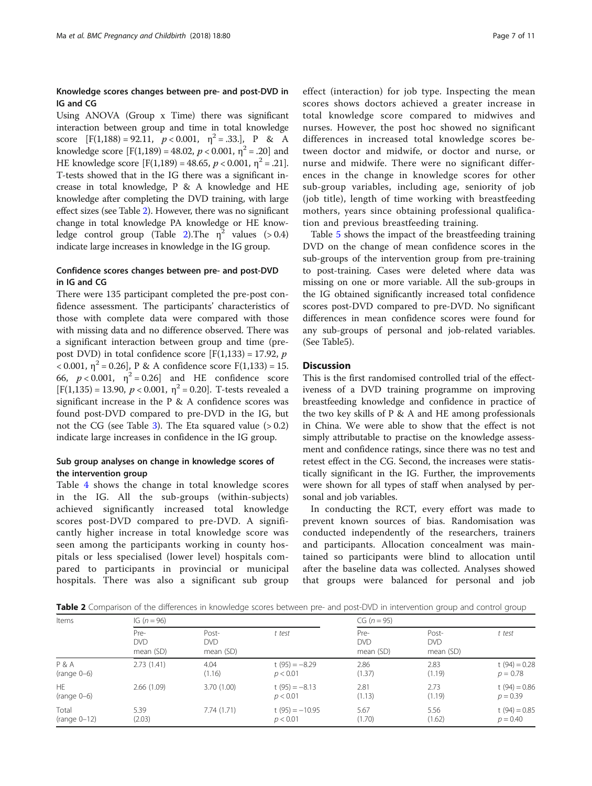# Knowledge scores changes between pre- and post-DVD in IG and CG

Using ANOVA (Group x Time) there was significant interaction between group and time in total knowledge score  $[F(1,188) = 92.11, p < 0.001, \eta^2 = .33.], P & A$ knowledge score  $[F(1,189) = 48.02, p < 0.001, \eta^2 = .20]$  and HE knowledge score  $[F(1,189) = 48.65, p < 0.001, \eta^2 = .21]$ . T-tests showed that in the IG there was a significant increase in total knowledge, P & A knowledge and HE knowledge after completing the DVD training, with large effect sizes (see Table 2). However, there was no significant change in total knowledge PA knowledge or HE knowledge control group (Table 2). The  $\eta^2$  values (> 0.4) indicate large increases in knowledge in the IG group.

# Confidence scores changes between pre- and post-DVD in IG and CG

There were 135 participant completed the pre-post confidence assessment. The participants' characteristics of those with complete data were compared with those with missing data and no difference observed. There was a significant interaction between group and time (prepost DVD) in total confidence score  $[F(1,133) = 17.92, p$  $< 0.001$ ,  $\eta^2 = 0.26$ , P & A confidence score F(1,133) = 15. 66,  $p < 0.001$ ,  $\eta^2 = 0.26$ ] and HE confidence score  $[F(1,135) = 13.90, p < 0.001, \eta^2 = 0.20]$ . T-tests revealed a significant increase in the P & A confidence scores was found post-DVD compared to pre-DVD in the IG, but not the CG (see Table [3](#page-7-0)). The Eta squared value  $(>0.2)$ indicate large increases in confidence in the IG group.

# Sub group analyses on change in knowledge scores of the intervention group

Table [4](#page-7-0) shows the change in total knowledge scores in the IG. All the sub-groups (within-subjects) achieved significantly increased total knowledge scores post-DVD compared to pre-DVD. A significantly higher increase in total knowledge score was seen among the participants working in county hospitals or less specialised (lower level) hospitals compared to participants in provincial or municipal hospitals. There was also a significant sub group

effect (interaction) for job type. Inspecting the mean scores shows doctors achieved a greater increase in total knowledge score compared to midwives and nurses. However, the post hoc showed no significant differences in increased total knowledge scores between doctor and midwife, or doctor and nurse, or nurse and midwife. There were no significant differences in the change in knowledge scores for other sub-group variables, including age, seniority of job (job title), length of time working with breastfeeding mothers, years since obtaining professional qualification and previous breastfeeding training.

Table [5](#page-8-0) shows the impact of the breastfeeding training DVD on the change of mean confidence scores in the sub-groups of the intervention group from pre-training to post-training. Cases were deleted where data was missing on one or more variable. All the sub-groups in the IG obtained significantly increased total confidence scores post-DVD compared to pre-DVD. No significant differences in mean confidence scores were found for any sub-groups of personal and job-related variables. (See Table5).

### **Discussion**

This is the first randomised controlled trial of the effectiveness of a DVD training programme on improving breastfeeding knowledge and confidence in practice of the two key skills of P & A and HE among professionals in China. We were able to show that the effect is not simply attributable to practise on the knowledge assessment and confidence ratings, since there was no test and retest effect in the CG. Second, the increases were statistically significant in the IG. Further, the improvements were shown for all types of staff when analysed by personal and job variables.

In conducting the RCT, every effort was made to prevent known sources of bias. Randomisation was conducted independently of the researchers, trainers and participants. Allocation concealment was maintained so participants were blind to allocation until after the baseline data was collected. Analyses showed that groups were balanced for personal and job

Table 2 Comparison of the differences in knowledge scores between pre- and post-DVD in intervention group and control group

| Items                    | IG $(n = 96)$                   |                            |                               | $CG (n = 95)$                   |                                  |                               |  |
|--------------------------|---------------------------------|----------------------------|-------------------------------|---------------------------------|----------------------------------|-------------------------------|--|
|                          | Pre-<br><b>DVD</b><br>mean (SD) | Post-<br>DVD.<br>mean (SD) | t test                        | Pre-<br><b>DVD</b><br>mean (SD) | Post-<br><b>DVD</b><br>mean (SD) | t test                        |  |
| P & A<br>(range $0-6$ )  | 2.73(1.41)                      | 4.04<br>(1.16)             | t $(95) = -8.29$<br>p < 0.01  | 2.86<br>(1.37)                  | 2.83<br>(1.19)                   | t $(94) = 0.28$<br>$p = 0.78$ |  |
| HE.<br>(range $0-6$ )    | 2.66(1.09)                      | 3.70 (1.00)                | t $(95) = -8.13$<br>p < 0.01  | 2.81<br>(1.13)                  | 2.73<br>(1.19)                   | t $(94) = 0.86$<br>$p = 0.39$ |  |
| Total<br>(range $0-12$ ) | 5.39<br>(2.03)                  | 7.74(1.71)                 | t $(95) = -10.95$<br>p < 0.01 | 5.67<br>(1.70)                  | 5.56<br>(1.62)                   | t $(94) = 0.85$<br>$p = 0.40$ |  |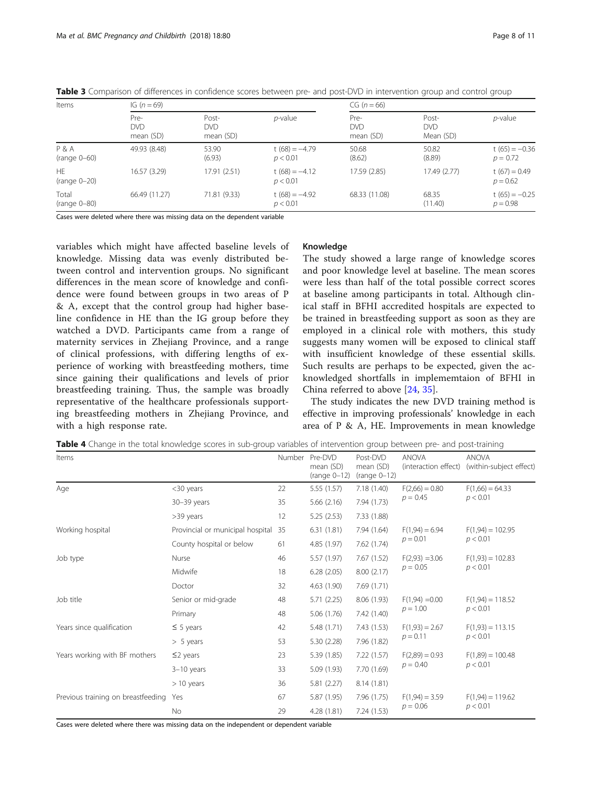| Items                                  | IG $(n = 69)$                   |                                  |                              | $CG (n = 66)$                   |                                  |                                |  |
|----------------------------------------|---------------------------------|----------------------------------|------------------------------|---------------------------------|----------------------------------|--------------------------------|--|
|                                        | Pre-<br><b>DVD</b><br>mean (SD) | Post-<br><b>DVD</b><br>mean (SD) | <i>p</i> -value              | Pre-<br><b>DVD</b><br>mean (SD) | Post-<br><b>DVD</b><br>Mean (SD) | $p$ -value                     |  |
| P & A<br>$(\text{range } 0\text{-}60)$ | 49.93 (8.48)                    | 53.90<br>(6.93)                  | t $(68) = -4.79$<br>p < 0.01 | 50.68<br>(8.62)                 | 50.82<br>(8.89)                  | t $(65) = -0.36$<br>$p = 0.72$ |  |
| <b>HE</b><br>$(range 0-20)$            | 16.57 (3.29)                    | 17.91 (2.51)                     | t $(68) = -4.12$<br>p < 0.01 | 17.59 (2.85)                    | 17.49 (2.77)                     | t $(67) = 0.49$<br>$p = 0.62$  |  |
| Total<br>(range $0-80$ )               | 66.49 (11.27)                   | 71.81 (9.33)                     | t $(68) = -4.92$<br>p < 0.01 | 68.33 (11.08)                   | 68.35<br>(11.40)                 | t $(65) = -0.25$<br>$p = 0.98$ |  |

<span id="page-7-0"></span>Table 3 Comparison of differences in confidence scores between pre- and post-DVD in intervention group and control group

Cases were deleted where there was missing data on the dependent variable

variables which might have affected baseline levels of knowledge. Missing data was evenly distributed between control and intervention groups. No significant differences in the mean score of knowledge and confidence were found between groups in two areas of P & A, except that the control group had higher baseline confidence in HE than the IG group before they watched a DVD. Participants came from a range of maternity services in Zhejiang Province, and a range of clinical professions, with differing lengths of experience of working with breastfeeding mothers, time since gaining their qualifications and levels of prior breastfeeding training. Thus, the sample was broadly representative of the healthcare professionals supporting breastfeeding mothers in Zhejiang Province, and with a high response rate.

#### Knowledge

The study showed a large range of knowledge scores and poor knowledge level at baseline. The mean scores were less than half of the total possible correct scores at baseline among participants in total. Although clinical staff in BFHI accredited hospitals are expected to be trained in breastfeeding support as soon as they are employed in a clinical role with mothers, this study suggests many women will be exposed to clinical staff with insufficient knowledge of these essential skills. Such results are perhaps to be expected, given the acknowledged shortfalls in implememtaion of BFHI in China referred to above [[24,](#page-10-0) [35](#page-10-0)].

The study indicates the new DVD training method is effective in improving professionals' knowledge in each area of P & A, HE. Improvements in mean knowledge

|  |  | <b>Table 4</b> Change in the total knowledge scores in sub-group variables of intervention group between pre- and post-training |  |  |
|--|--|---------------------------------------------------------------------------------------------------------------------------------|--|--|
|  |  |                                                                                                                                 |  |  |

| Items                              |                                  |    | Number Pre-DVD<br>mean (SD)<br>(range $0-12$ ) | Post-DVD<br>mean (SD)<br>$(range 0-12)$ | <b>ANOVA</b><br>(interaction effect) | <b>ANOVA</b><br>(within-subject effect) |  |
|------------------------------------|----------------------------------|----|------------------------------------------------|-----------------------------------------|--------------------------------------|-----------------------------------------|--|
| Age                                | <30 years                        | 22 | 5.55(1.57)                                     | 7.18(1.40)                              | $F(2.66) = 0.80$                     | $F(1,66) = 64.33$                       |  |
|                                    | 30-39 years                      | 35 | 5.66(2.16)                                     | 7.94(1.73)                              | $p = 0.45$                           | p < 0.01                                |  |
|                                    | >39 years                        | 12 | 5.25(2.53)                                     | 7.33 (1.88)                             |                                      |                                         |  |
| Working hospital                   | Provincial or municipal hospital | 35 | 6.31(1.81)                                     | 7.94(1.64)                              | $F(1,94) = 6.94$                     | $F(1,94) = 102.95$                      |  |
|                                    | County hospital or below         | 61 | 4.85 (1.97)                                    | 7.62(1.74)                              | $p = 0.01$                           | p < 0.01                                |  |
| Job type                           | Nurse                            | 46 | 5.57(1.97)                                     | 7.67(1.52)                              | $F(2,93) = 3.06$                     | $F(1,93) = 102.83$<br>p < 0.01          |  |
|                                    | Midwife                          | 18 | 6.28(2.05)                                     | 8.00(2.17)                              | $p = 0.05$                           |                                         |  |
|                                    | Doctor                           | 32 | 4.63(1.90)                                     | 7.69(1.71)                              |                                      |                                         |  |
| Job title                          | Senior or mid-grade              | 48 | 5.71(2.25)                                     | 8.06(1.93)                              | $F(1,94) = 0.00$<br>$p = 1.00$       | $F(1,94) = 118.52$<br>p < 0.01          |  |
|                                    | Primary                          | 48 | 5.06 (1.76)                                    | 7.42 (1.40)                             |                                      |                                         |  |
| Years since qualification          | $\leq$ 5 years                   | 42 | 5.48 (1.71)                                    | 7.43(1.53)                              | $F(1,93) = 2.67$                     | $F(1,93) = 113.15$                      |  |
|                                    | $> 5$ years                      | 53 | 5.30(2.28)                                     | 7.96 (1.82)                             | $p = 0.11$                           | p < 0.01                                |  |
| Years working with BF mothers      | $\leq$ years                     | 23 | 5.39(1.85)                                     | 7.22(1.57)                              | $F(2,89) = 0.93$                     | $F(1,89) = 100.48$                      |  |
|                                    | $3-10$ years                     | 33 | 5.09(1.93)                                     | 7.70 (1.69)                             | $p = 0.40$                           | p < 0.01                                |  |
|                                    | $> 10$ years                     | 36 | 5.81(2.27)                                     | 8.14(1.81)                              |                                      |                                         |  |
| Previous training on breastfeeding | Yes                              | 67 | 5.87 (1.95)                                    | 7.96(1.75)                              | $F(1.94) = 3.59$                     | $F(1,94) = 119.62$                      |  |
|                                    | No                               | 29 | 4.28 (1.81)                                    | 7.24(1.53)                              | $p = 0.06$                           | p < 0.01                                |  |

Cases were deleted where there was missing data on the independent or dependent variable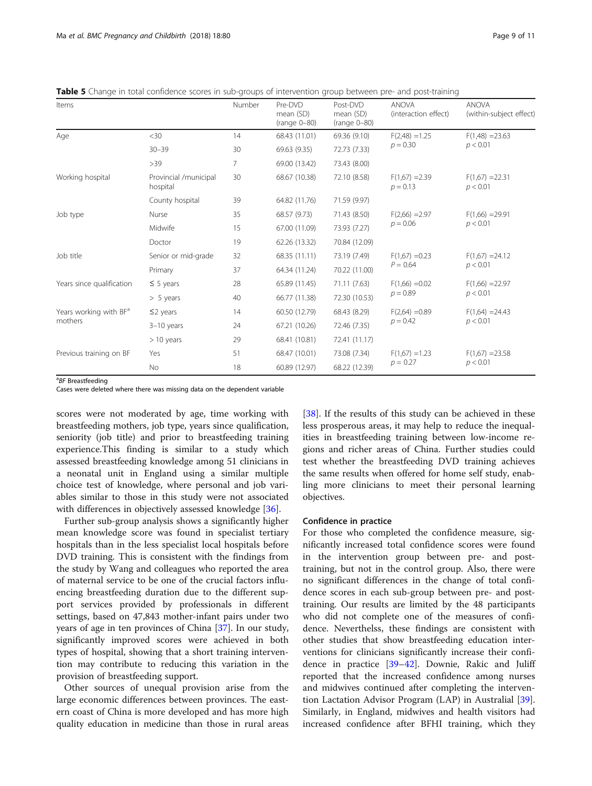| Items                                         |                                   | Number | Pre-DVD<br>mean (SD)<br>$(range 0-80)$ | Post-DVD<br>mean (SD)<br>$(range 0-80)$ | <b>ANOVA</b><br>(interaction effect) | <b>ANOVA</b><br>(within-subject effect) |  |
|-----------------------------------------------|-----------------------------------|--------|----------------------------------------|-----------------------------------------|--------------------------------------|-----------------------------------------|--|
| Age                                           | <30                               | 14     | 68.43 (11.01)                          | 69.36 (9.10)                            | $F(2.48) = 1.25$                     | $F(1,48) = 23.63$                       |  |
|                                               | $30 - 39$                         | 30     | 69.63 (9.35)                           | 72.73 (7.33)                            | $p = 0.30$                           | p < 0.01                                |  |
|                                               | >39                               | 7      | 69.00 (13.42)                          | 73.43 (8.00)                            |                                      |                                         |  |
| Working hospital                              | Provincial /municipal<br>hospital | 30     | 68.67 (10.38)                          | 72.10 (8.58)                            | $F(1,67) = 2.39$<br>$p = 0.13$       | $F(1,67) = 22.31$<br>p < 0.01           |  |
|                                               | County hospital                   | 39     | 64.82 (11.76)                          | 71.59 (9.97)                            |                                      |                                         |  |
| Job type                                      | Nurse                             | 35     | 68.57 (9.73)                           | 71.43 (8.50)                            | $F(2,66) = 2.97$                     | $F(1,66) = 29.91$                       |  |
|                                               | Midwife                           | 15     | 67.00 (11.09)                          | 73.93 (7.27)                            | $p = 0.06$                           | p < 0.01                                |  |
|                                               | Doctor                            | 19     | 62.26 (13.32)                          | 70.84 (12.09)                           |                                      |                                         |  |
| Job title                                     | Senior or mid-grade               | 32     | 68.35 (11.11)                          | 73.19 (7.49)                            | $F(1,67) = 0.23$                     | $F(1,67) = 24.12$                       |  |
|                                               | Primary                           | 37     | 64.34 (11.24)                          | 70.22 (11.00)                           | $P = 0.64$                           | p < 0.01                                |  |
| Years since qualification                     | $\leq$ 5 years                    | 28     | 65.89 (11.45)                          | 71.11 (7.63)                            | $F(1,66) = 0.02$                     | $F(1,66) = 22.97$                       |  |
|                                               | $> 5$ years                       | 40     | 66.77 (11.38)                          | 72.30 (10.53)                           | $p = 0.89$                           | p < 0.01                                |  |
| Years working with BF <sup>a</sup><br>mothers | $\leq$ years                      | 14     | 60.50 (12.79)                          | 68.43 (8.29)                            | $F(2,64) = 0.89$                     | $F(1,64) = 24.43$                       |  |
|                                               | $3-10$ years                      | 24     | 67.21 (10.26)                          | 72.46 (7.35)                            | $p = 0.42$                           | p < 0.01                                |  |
|                                               | $> 10$ years                      | 29     | 68.41 (10.81)                          | 72.41 (11.17)                           |                                      |                                         |  |
| Previous training on BF                       | Yes                               | 51     | 68.47 (10.01)                          | 73.08 (7.34)                            | $F(1,67) = 1.23$                     | $F(1,67) = 23.58$                       |  |
|                                               | <b>No</b>                         | 18     | 60.89 (12.97)                          | 68.22 (12.39)                           | $p = 0.27$                           | p < 0.01                                |  |

<span id="page-8-0"></span>Table 5 Change in total confidence scores in sub-groups of intervention group between pre- and post-training

<sup>a</sup>BF Breastfeeding

Cases were deleted where there was missing data on the dependent variable

scores were not moderated by age, time working with breastfeeding mothers, job type, years since qualification, seniority (job title) and prior to breastfeeding training experience.This finding is similar to a study which assessed breastfeeding knowledge among 51 clinicians in a neonatal unit in England using a similar multiple choice test of knowledge, where personal and job variables similar to those in this study were not associated with differences in objectively assessed knowledge [[36\]](#page-10-0).

Further sub-group analysis shows a significantly higher mean knowledge score was found in specialist tertiary hospitals than in the less specialist local hospitals before DVD training. This is consistent with the findings from the study by Wang and colleagues who reported the area of maternal service to be one of the crucial factors influencing breastfeeding duration due to the different support services provided by professionals in different settings, based on 47,843 mother-infant pairs under two years of age in ten provinces of China [\[37](#page-10-0)]. In our study, significantly improved scores were achieved in both types of hospital, showing that a short training intervention may contribute to reducing this variation in the provision of breastfeeding support.

Other sources of unequal provision arise from the large economic differences between provinces. The eastern coast of China is more developed and has more high quality education in medicine than those in rural areas

[[38\]](#page-10-0). If the results of this study can be achieved in these less prosperous areas, it may help to reduce the inequalities in breastfeeding training between low-income regions and richer areas of China. Further studies could test whether the breastfeeding DVD training achieves the same results when offered for home self study, enabling more clinicians to meet their personal learning objectives.

#### Confidence in practice

For those who completed the confidence measure, significantly increased total confidence scores were found in the intervention group between pre- and posttraining, but not in the control group. Also, there were no significant differences in the change of total confidence scores in each sub-group between pre- and posttraining. Our results are limited by the 48 participants who did not complete one of the measures of confidence. Neverthelss, these findings are consistent with other studies that show breastfeeding education interventions for clinicians significantly increase their confidence in practice [\[39](#page-10-0)–[42\]](#page-10-0). Downie, Rakic and Juliff reported that the increased confidence among nurses and midwives continued after completing the intervention Lactation Advisor Program (LAP) in Australial [\[39](#page-10-0)]. Similarly, in England, midwives and health visitors had increased confidence after BFHI training, which they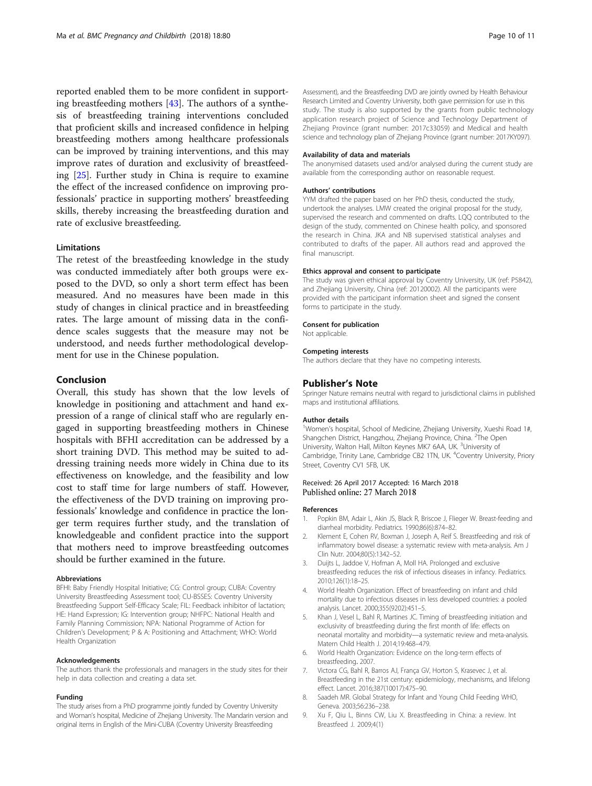<span id="page-9-0"></span>reported enabled them to be more confident in supporting breastfeeding mothers [[43\]](#page-10-0). The authors of a synthesis of breastfeeding training interventions concluded that proficient skills and increased confidence in helping breastfeeding mothers among healthcare professionals can be improved by training interventions, and this may improve rates of duration and exclusivity of breastfeeding [[25\]](#page-10-0). Further study in China is require to examine the effect of the increased confidence on improving professionals' practice in supporting mothers' breastfeeding skills, thereby increasing the breastfeeding duration and rate of exclusive breastfeeding.

#### Limitations

The retest of the breastfeeding knowledge in the study was conducted immediately after both groups were exposed to the DVD, so only a short term effect has been measured. And no measures have been made in this study of changes in clinical practice and in breastfeeding rates. The large amount of missing data in the confidence scales suggests that the measure may not be understood, and needs further methodological development for use in the Chinese population.

#### Conclusion

Overall, this study has shown that the low levels of knowledge in positioning and attachment and hand expression of a range of clinical staff who are regularly engaged in supporting breastfeeding mothers in Chinese hospitals with BFHI accreditation can be addressed by a short training DVD. This method may be suited to addressing training needs more widely in China due to its effectiveness on knowledge, and the feasibility and low cost to staff time for large numbers of staff. However, the effectiveness of the DVD training on improving professionals' knowledge and confidence in practice the longer term requires further study, and the translation of knowledgeable and confident practice into the support that mothers need to improve breastfeeding outcomes should be further examined in the future.

### Abbreviations

BFHI: Baby Friendly Hospital Initiative; CG: Control group; CUBA: Coventry University Breastfeeding Assessment tool; CU-BSSES: Coventry University Breastfeeding Support Self-Efficacy Scale; FIL: Feedback inhibitor of lactation; HE: Hand Expression; IG: Intervention group; NHFPC: National Health and Family Planning Commission; NPA: National Programme of Action for Children's Development; P & A: Positioning and Attachment; WHO: World Health Organization

#### Acknowledgements

The authors thank the professionals and managers in the study sites for their help in data collection and creating a data set.

#### Funding

The study arises from a PhD programme jointly funded by Coventry University and Woman's hospital, Medicine of Zhejiang University. The Mandarin version and original items in English of the Mini-CUBA (Coventry University Breastfeeding

Assessment), and the Breastfeeding DVD are jointly owned by Health Behaviour Research Limited and Coventry University, both gave permission for use in this study. The study is also supported by the grants from public technology application research project of Science and Technology Department of Zhejiang Province (grant number: 2017c33059) and Medical and health science and technology plan of Zhejiang Province (grant number: 2017KY097).

#### Availability of data and materials

The anonymised datasets used and/or analysed during the current study are available from the corresponding author on reasonable request.

#### Authors' contributions

YYM drafted the paper based on her PhD thesis, conducted the study, undertook the analyses. LMW created the original proposal for the study, supervised the research and commented on drafts. LQQ contributed to the design of the study, commented on Chinese health policy, and sponsored the research in China. JKA and NB supervised statistical analyses and contributed to drafts of the paper. All authors read and approved the final manuscript.

#### Ethics approval and consent to participate

The study was given ethical approval by Coventry University, UK (ref: P5842), and Zhejiang University, China (ref: 20120002). All the participants were provided with the participant information sheet and signed the consent forms to participate in the study.

#### Consent for publication

Not applicable.

#### Competing interests

The authors declare that they have no competing interests.

#### Publisher's Note

Springer Nature remains neutral with regard to jurisdictional claims in published maps and institutional affiliations.

#### Author details

<sup>1</sup>Women's hospital, School of Medicine, Zhejiang University, Xueshi Road 1# Shangchen District, Hangzhou, Zhejiang Province, China. <sup>2</sup>The Open University, Walton Hall, Milton Keynes MK7 6AA, UK.<sup>3</sup> University of Cambridge, Trinity Lane, Cambridge CB2 1TN, UK. <sup>4</sup> Coventry University, Priory Street, Coventry CV1 5FB, UK.

#### Received: 26 April 2017 Accepted: 16 March 2018 Published online: 27 March 2018

#### References

- 1. Popkin BM, Adair L, Akin JS, Black R, Briscoe J, Flieger W. Breast-feeding and diarrheal morbidity. Pediatrics. 1990;86(6):874–82.
- 2. Klement E, Cohen RV, Boxman J, Joseph A, Reif S. Breastfeeding and risk of inflammatory bowel disease: a systematic review with meta-analysis. Am J Clin Nutr. 2004;80(5):1342–52.
- 3. Duijts L, Jaddoe V, Hofman A, Moll HA. Prolonged and exclusive breastfeeding reduces the risk of infectious diseases in infancy. Pediatrics. 2010;126(1):18–25.
- 4. World Health Organization. Effect of breastfeeding on infant and child mortality due to infectious diseases in less developed countries: a pooled analysis. Lancet. 2000;355(9202):451–5.
- 5. Khan J, Vesel L, Bahl R, Martines JC. Timing of breastfeeding initiation and exclusivity of breastfeeding during the first month of life: effects on neonatal mortality and morbidity—a systematic review and meta-analysis. Matern Child Health J. 2014;19:468–479.
- 6. World Health Organization: Evidence on the long-term effects of breastfeeding. 2007.
- 7. Victora CG, Bahl R, Barros AJ, França GV, Horton S, Krasevec J, et al. Breastfeeding in the 21st century: epidemiology, mechanisms, and lifelong effect. Lancet. 2016;387(10017):475–90.
- 8. Saadeh MR. Global Strategy for Infant and Young Child Feeding WHO, Geneva. 2003;56:236–238.
- 9. Xu F, Qiu L, Binns CW, Liu X. Breastfeeding in China: a review. Int Breastfeed J. 2009;4(1)